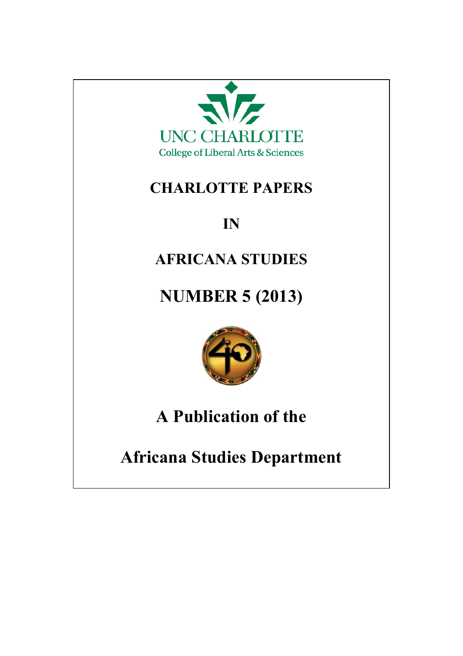

## **CHARLOTTE PAPERS**

# **IN**

## **AFRICANA STUDIES**

# **NUMBER 5 (2013)**



# **A Publication of the**

**Africana Studies Department**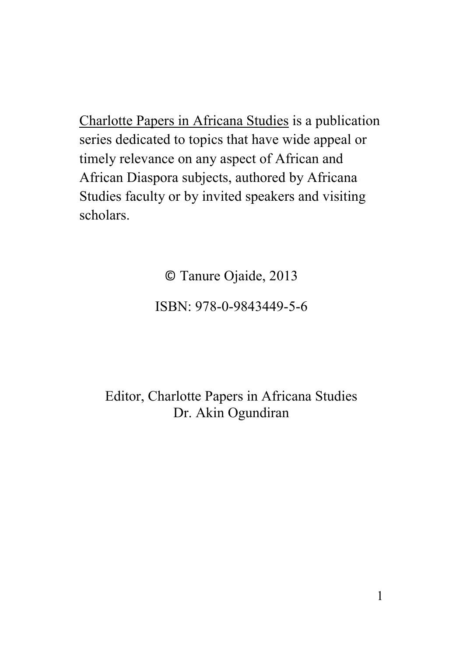Charlotte Papers in Africana Studies is a publication series dedicated to topics that have wide appeal or timely relevance on any aspect of African and African Diaspora subjects, authored by Africana Studies faculty or by invited speakers and visiting scholars.

© Tanure Ojaide, 2013

#### ISBN: 978-0-9843449-5-6

Editor, Charlotte Papers in Africana Studies Dr. Akin Ogundiran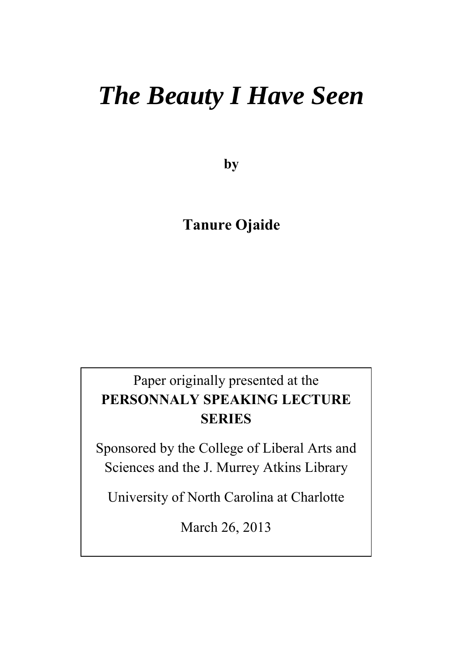# *The Beauty I Have Seen*

**by**

#### **Tanure Ojaide**

### Paper originally presented at the **PERSONNALY SPEAKING LECTURE SERIES**

Sponsored by the College of Liberal Arts and Sciences and the J. Murrey Atkins Library

University of North Carolina at Charlotte

March 26, 2013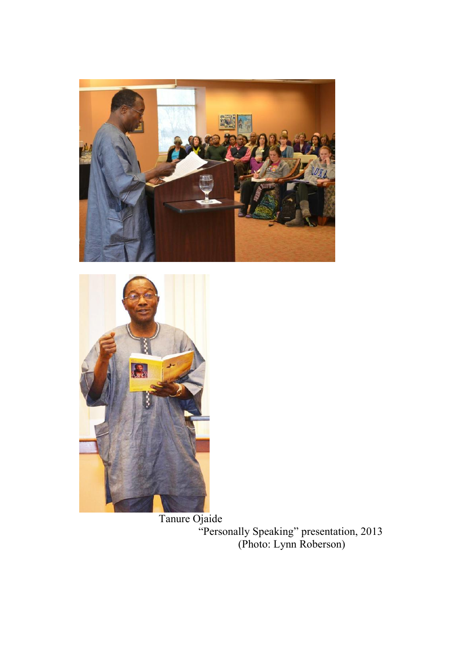



 Tanure Ojaide "Personally Speaking" presentation, 2013 (Photo: Lynn Roberson)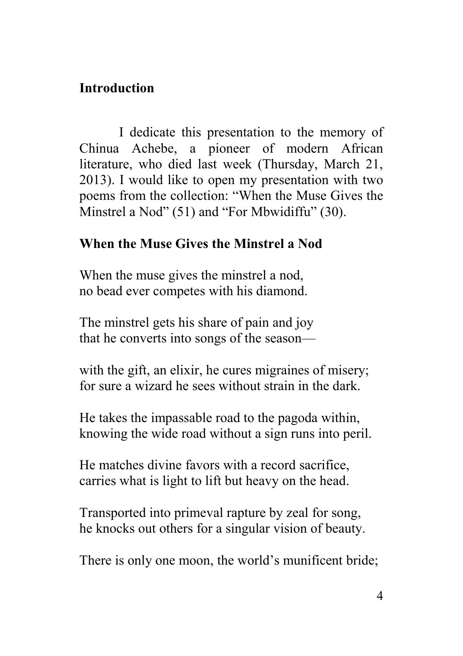#### **Introduction**

I dedicate this presentation to the memory of Chinua Achebe, a pioneer of modern African literature, who died last week (Thursday, March 21, 2013). I would like to open my presentation with two poems from the collection: "When the Muse Gives the Minstrel a Nod" (51) and "For Mbwidiffu" (30).

#### **When the Muse Gives the Minstrel a Nod**

When the muse gives the minstrel a nod, no bead ever competes with his diamond.

The minstrel gets his share of pain and joy that he converts into songs of the season—

with the gift, an elixir, he cures migraines of misery; for sure a wizard he sees without strain in the dark.

He takes the impassable road to the pagoda within, knowing the wide road without a sign runs into peril.

He matches divine favors with a record sacrifice, carries what is light to lift but heavy on the head.

Transported into primeval rapture by zeal for song, he knocks out others for a singular vision of beauty.

There is only one moon, the world's munificent bride;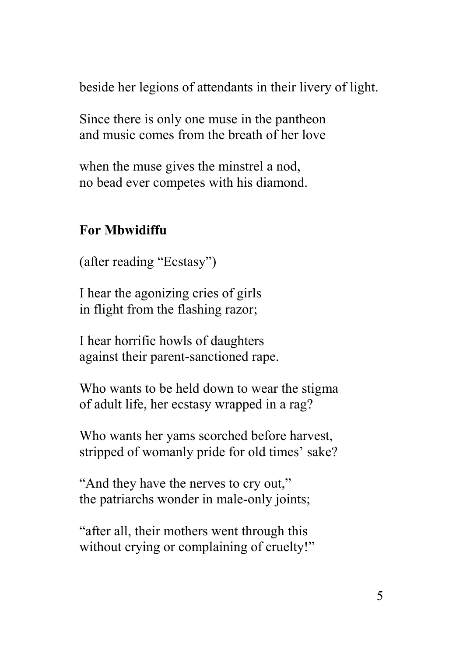beside her legions of attendants in their livery of light.

Since there is only one muse in the pantheon and music comes from the breath of her love

when the muse gives the minstrel a nod, no bead ever competes with his diamond.

#### **For Mbwidiffu**

(after reading "Ecstasy")

I hear the agonizing cries of girls in flight from the flashing razor;

I hear horrific howls of daughters against their parent-sanctioned rape.

Who wants to be held down to wear the stigma of adult life, her ecstasy wrapped in a rag?

Who wants her yams scorched before harvest, stripped of womanly pride for old times' sake?

"And they have the nerves to cry out," the patriarchs wonder in male-only joints;

"after all, their mothers went through this without crying or complaining of cruelty!"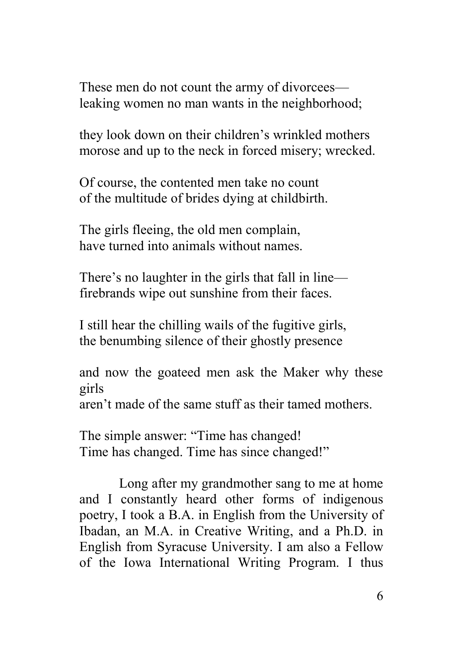These men do not count the army of divorcees leaking women no man wants in the neighborhood;

they look down on their children's wrinkled mothers morose and up to the neck in forced misery; wrecked.

Of course, the contented men take no count of the multitude of brides dying at childbirth.

The girls fleeing, the old men complain, have turned into animals without names.

There's no laughter in the girls that fall in line firebrands wipe out sunshine from their faces.

I still hear the chilling wails of the fugitive girls, the benumbing silence of their ghostly presence

and now the goateed men ask the Maker why these girls

aren't made of the same stuff as their tamed mothers.

The simple answer: "Time has changed! Time has changed. Time has since changed!"

Long after my grandmother sang to me at home and I constantly heard other forms of indigenous poetry, I took a B.A. in English from the University of Ibadan, an M.A. in Creative Writing, and a Ph.D. in English from Syracuse University. I am also a Fellow of the Iowa International Writing Program. I thus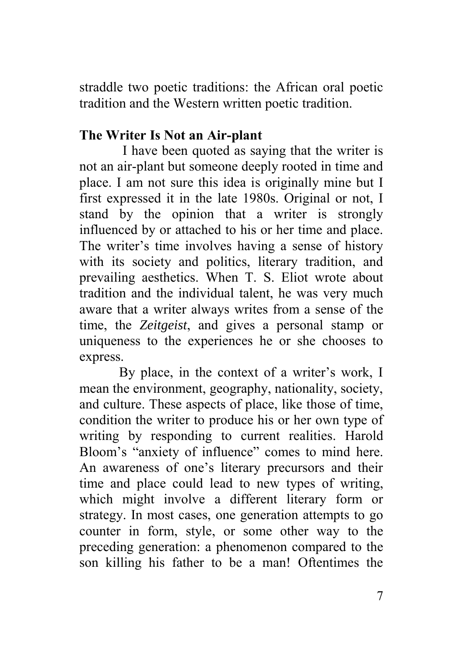straddle two poetic traditions: the African oral poetic tradition and the Western written poetic tradition.

#### **The Writer Is Not an Air-plant**

I have been quoted as saying that the writer is not an air-plant but someone deeply rooted in time and place. I am not sure this idea is originally mine but I first expressed it in the late 1980s. Original or not, I stand by the opinion that a writer is strongly influenced by or attached to his or her time and place. The writer's time involves having a sense of history with its society and politics, literary tradition, and prevailing aesthetics. When T. S. Eliot wrote about tradition and the individual talent, he was very much aware that a writer always writes from a sense of the time, the *Zeitgeist*, and gives a personal stamp or uniqueness to the experiences he or she chooses to express.

By place, in the context of a writer's work, I mean the environment, geography, nationality, society, and culture. These aspects of place, like those of time, condition the writer to produce his or her own type of writing by responding to current realities. Harold Bloom's "anxiety of influence" comes to mind here. An awareness of one's literary precursors and their time and place could lead to new types of writing, which might involve a different literary form or strategy. In most cases, one generation attempts to go counter in form, style, or some other way to the preceding generation: a phenomenon compared to the son killing his father to be a man! Oftentimes the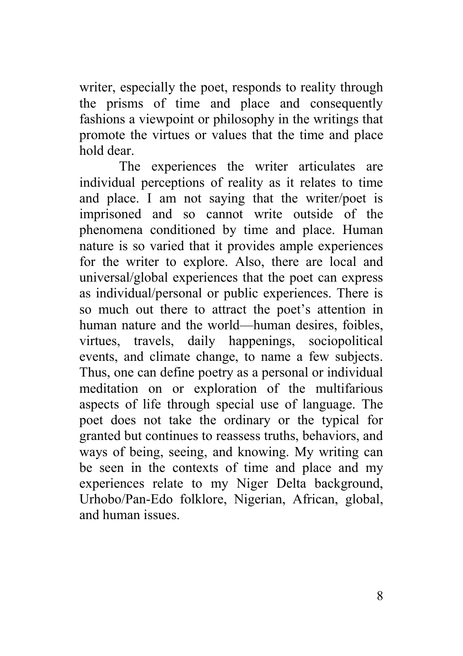writer, especially the poet, responds to reality through the prisms of time and place and consequently fashions a viewpoint or philosophy in the writings that promote the virtues or values that the time and place hold dear.

The experiences the writer articulates are individual perceptions of reality as it relates to time and place. I am not saying that the writer/poet is imprisoned and so cannot write outside of the phenomena conditioned by time and place. Human nature is so varied that it provides ample experiences for the writer to explore. Also, there are local and universal/global experiences that the poet can express as individual/personal or public experiences. There is so much out there to attract the poet's attention in human nature and the world—human desires, foibles, virtues, travels, daily happenings, sociopolitical events, and climate change, to name a few subjects. Thus, one can define poetry as a personal or individual meditation on or exploration of the multifarious aspects of life through special use of language. The poet does not take the ordinary or the typical for granted but continues to reassess truths, behaviors, and ways of being, seeing, and knowing. My writing can be seen in the contexts of time and place and my experiences relate to my Niger Delta background, Urhobo/Pan-Edo folklore, Nigerian, African, global, and human issues.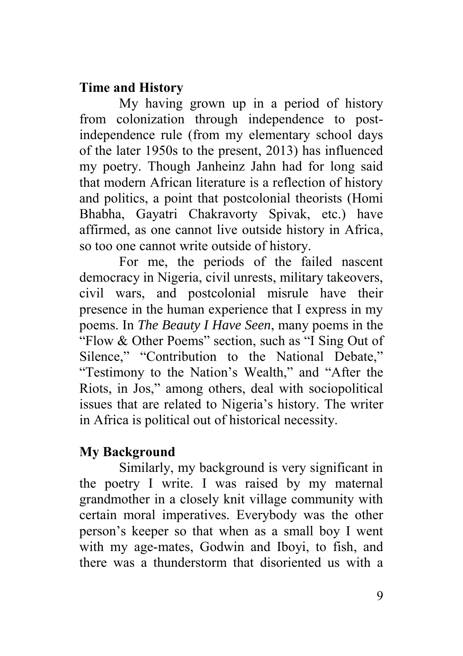#### **Time and History**

My having grown up in a period of history from colonization through independence to postindependence rule (from my elementary school days of the later 1950s to the present, 2013) has influenced my poetry. Though Janheinz Jahn had for long said that modern African literature is a reflection of history and politics, a point that postcolonial theorists (Homi Bhabha, Gayatri Chakravorty Spivak, etc.) have affirmed, as one cannot live outside history in Africa, so too one cannot write outside of history.

For me, the periods of the failed nascent democracy in Nigeria, civil unrests, military takeovers, civil wars, and postcolonial misrule have their presence in the human experience that I express in my poems. In *The Beauty I Have Seen*, many poems in the "Flow & Other Poems" section, such as "I Sing Out of Silence," "Contribution to the National Debate," "Testimony to the Nation's Wealth," and "After the Riots, in Jos," among others, deal with sociopolitical issues that are related to Nigeria's history. The writer in Africa is political out of historical necessity.

#### **My Background**

Similarly, my background is very significant in the poetry I write. I was raised by my maternal grandmother in a closely knit village community with certain moral imperatives. Everybody was the other person's keeper so that when as a small boy I went with my age-mates, Godwin and Iboyi, to fish, and there was a thunderstorm that disoriented us with a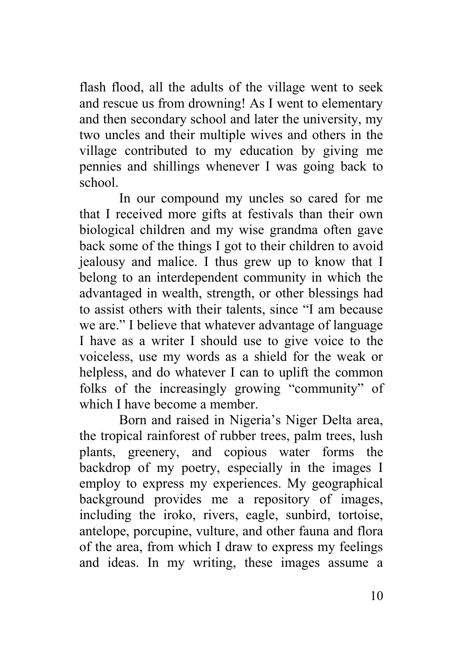flash flood, all the adults of the village went to seek and rescue us from drowning! As I went to elementary and then secondary school and later the university, my two uncles and their multiple wives and others in the village contributed to my education by giving me pennies and shillings whenever I was going back to school.

In our compound my uncles so cared for me that I received more gifts at festivals than their own biological children and my wise grandma often gave back some of the things I got to their children to avoid jealousy and malice. I thus grew up to know that I belong to an interdependent community in which the advantaged in wealth, strength, or other blessings had to assist others with their talents, since "I am because we are." I believe that whatever advantage of language I have as a writer I should use to give voice to the voiceless, use my words as a shield for the weak or helpless, and do whatever I can to uplift the common folks of the increasingly growing "community" of which I have become a member.

Born and raised in Nigeria's Niger Delta area, the tropical rainforest of rubber trees, palm trees, lush plants, greenery, and copious water forms the backdrop of my poetry, especially in the images I employ to express my experiences. My geographical background provides me a repository of images, including the iroko, rivers, eagle, sunbird, tortoise, antelope, porcupine, vulture, and other fauna and flora of the area, from which I draw to express my feelings and ideas. In my writing, these images assume a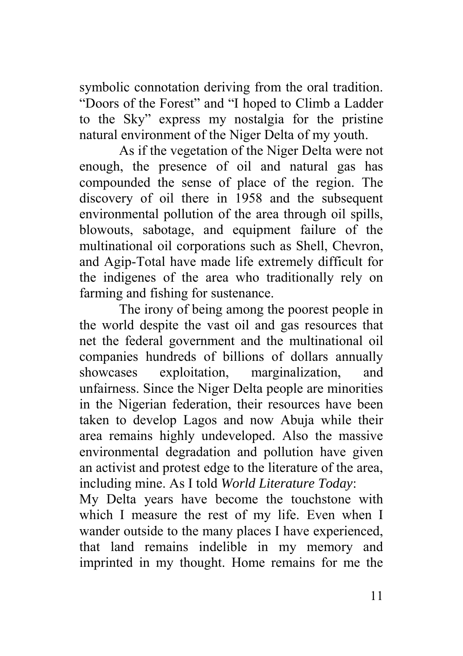symbolic connotation deriving from the oral tradition. "Doors of the Forest" and "I hoped to Climb a Ladder to the Sky" express my nostalgia for the pristine natural environment of the Niger Delta of my youth.

As if the vegetation of the Niger Delta were not enough, the presence of oil and natural gas has compounded the sense of place of the region. The discovery of oil there in 1958 and the subsequent environmental pollution of the area through oil spills, blowouts, sabotage, and equipment failure of the multinational oil corporations such as Shell, Chevron, and Agip-Total have made life extremely difficult for the indigenes of the area who traditionally rely on farming and fishing for sustenance.

The irony of being among the poorest people in the world despite the vast oil and gas resources that net the federal government and the multinational oil companies hundreds of billions of dollars annually showcases exploitation, marginalization, and unfairness. Since the Niger Delta people are minorities in the Nigerian federation, their resources have been taken to develop Lagos and now Abuja while their area remains highly undeveloped. Also the massive environmental degradation and pollution have given an activist and protest edge to the literature of the area, including mine. As I told *World Literature Today*:

My Delta years have become the touchstone with which I measure the rest of my life. Even when I wander outside to the many places I have experienced, that land remains indelible in my memory and imprinted in my thought. Home remains for me the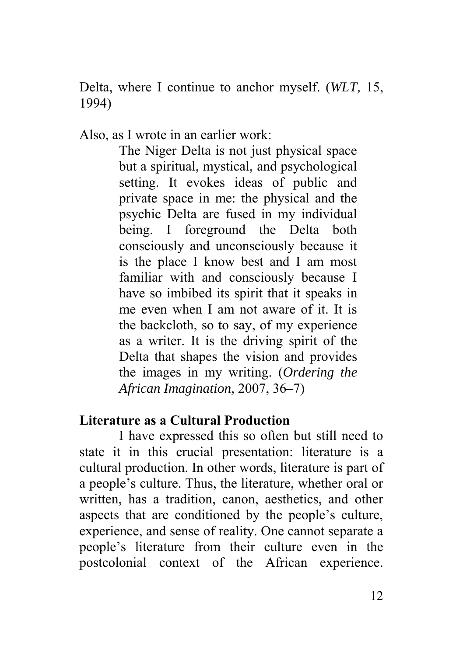Delta, where I continue to anchor myself. (*WLT,* 15, 1994)

Also, as I wrote in an earlier work:

The Niger Delta is not just physical space but a spiritual, mystical, and psychological setting. It evokes ideas of public and private space in me: the physical and the psychic Delta are fused in my individual being. I foreground the Delta both consciously and unconsciously because it is the place I know best and I am most familiar with and consciously because I have so imbibed its spirit that it speaks in me even when I am not aware of it. It is the backcloth, so to say, of my experience as a writer. It is the driving spirit of the Delta that shapes the vision and provides the images in my writing. (*Ordering the African Imagination,* 2007, 36–7)

#### **Literature as a Cultural Production**

I have expressed this so often but still need to state it in this crucial presentation: literature is a cultural production. In other words, literature is part of a people's culture. Thus, the literature, whether oral or written, has a tradition, canon, aesthetics, and other aspects that are conditioned by the people's culture, experience, and sense of reality. One cannot separate a people's literature from their culture even in the postcolonial context of the African experience.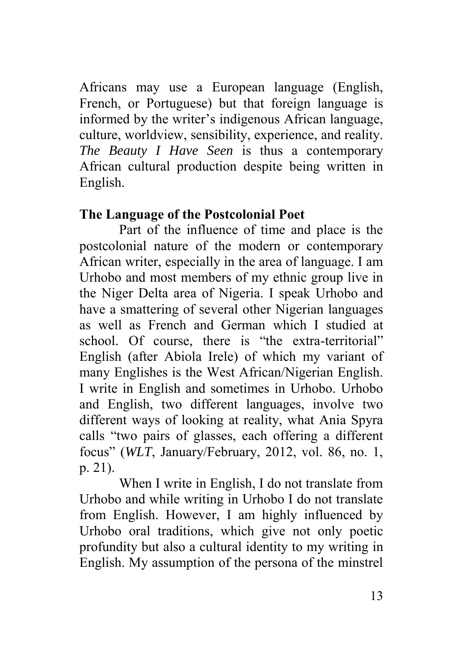Africans may use a European language (English, French, or Portuguese) but that foreign language is informed by the writer's indigenous African language, culture, worldview, sensibility, experience, and reality. *The Beauty I Have Seen* is thus a contemporary African cultural production despite being written in English.

#### **The Language of the Postcolonial Poet**

Part of the influence of time and place is the postcolonial nature of the modern or contemporary African writer, especially in the area of language. I am Urhobo and most members of my ethnic group live in the Niger Delta area of Nigeria. I speak Urhobo and have a smattering of several other Nigerian languages as well as French and German which I studied at school. Of course, there is "the extra-territorial" English (after Abiola Irele) of which my variant of many Englishes is the West African/Nigerian English. I write in English and sometimes in Urhobo. Urhobo and English, two different languages, involve two different ways of looking at reality, what Ania Spyra calls "two pairs of glasses, each offering a different focus" (*WLT*, January/February, 2012, vol. 86, no. 1, p. 21).

When I write in English, I do not translate from Urhobo and while writing in Urhobo I do not translate from English. However, I am highly influenced by Urhobo oral traditions, which give not only poetic profundity but also a cultural identity to my writing in English. My assumption of the persona of the minstrel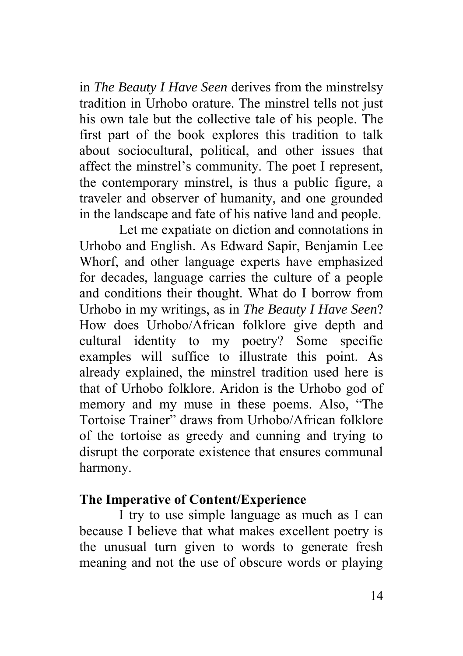in *The Beauty I Have Seen* derives from the minstrelsy tradition in Urhobo orature. The minstrel tells not just his own tale but the collective tale of his people. The first part of the book explores this tradition to talk about sociocultural, political, and other issues that affect the minstrel's community. The poet I represent, the contemporary minstrel, is thus a public figure, a traveler and observer of humanity, and one grounded in the landscape and fate of his native land and people.

Let me expatiate on diction and connotations in Urhobo and English. As Edward Sapir, Benjamin Lee Whorf, and other language experts have emphasized for decades, language carries the culture of a people and conditions their thought. What do I borrow from Urhobo in my writings, as in *The Beauty I Have Seen*? How does Urhobo/African folklore give depth and cultural identity to my poetry? Some specific examples will suffice to illustrate this point. As already explained, the minstrel tradition used here is that of Urhobo folklore. Aridon is the Urhobo god of memory and my muse in these poems. Also, "The Tortoise Trainer" draws from Urhobo/African folklore of the tortoise as greedy and cunning and trying to disrupt the corporate existence that ensures communal harmony.

#### **The Imperative of Content/Experience**

I try to use simple language as much as I can because I believe that what makes excellent poetry is the unusual turn given to words to generate fresh meaning and not the use of obscure words or playing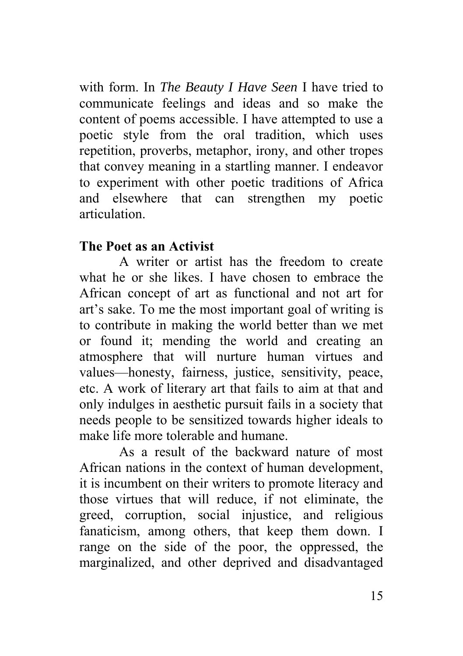with form. In *The Beauty I Have Seen* I have tried to communicate feelings and ideas and so make the content of poems accessible. I have attempted to use a poetic style from the oral tradition, which uses repetition, proverbs, metaphor, irony, and other tropes that convey meaning in a startling manner. I endeavor to experiment with other poetic traditions of Africa and elsewhere that can strengthen my poetic articulation.

#### **The Poet as an Activist**

 A writer or artist has the freedom to create what he or she likes. I have chosen to embrace the African concept of art as functional and not art for art's sake. To me the most important goal of writing is to contribute in making the world better than we met or found it; mending the world and creating an atmosphere that will nurture human virtues and values—honesty, fairness, justice, sensitivity, peace, etc. A work of literary art that fails to aim at that and only indulges in aesthetic pursuit fails in a society that needs people to be sensitized towards higher ideals to make life more tolerable and humane.

As a result of the backward nature of most African nations in the context of human development, it is incumbent on their writers to promote literacy and those virtues that will reduce, if not eliminate, the greed, corruption, social injustice, and religious fanaticism, among others, that keep them down. I range on the side of the poor, the oppressed, the marginalized, and other deprived and disadvantaged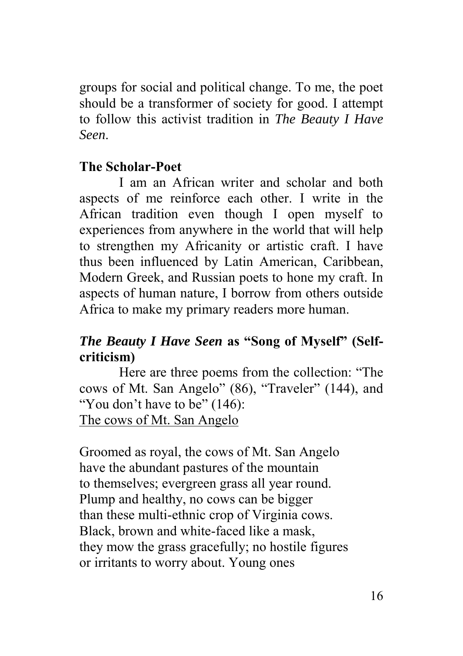groups for social and political change. To me, the poet should be a transformer of society for good. I attempt to follow this activist tradition in *The Beauty I Have Seen*.

#### **The Scholar-Poet**

 I am an African writer and scholar and both aspects of me reinforce each other. I write in the African tradition even though I open myself to experiences from anywhere in the world that will help to strengthen my Africanity or artistic craft. I have thus been influenced by Latin American, Caribbean, Modern Greek, and Russian poets to hone my craft. In aspects of human nature, I borrow from others outside Africa to make my primary readers more human.

#### *The Beauty I Have Seen* **as "Song of Myself" (Selfcriticism)**

Here are three poems from the collection: "The cows of Mt. San Angelo" (86), "Traveler" (144), and "You don't have to be" (146): The cows of Mt. San Angelo

Groomed as royal, the cows of Mt. San Angelo have the abundant pastures of the mountain to themselves; evergreen grass all year round. Plump and healthy, no cows can be bigger than these multi-ethnic crop of Virginia cows. Black, brown and white-faced like a mask, they mow the grass gracefully; no hostile figures or irritants to worry about. Young ones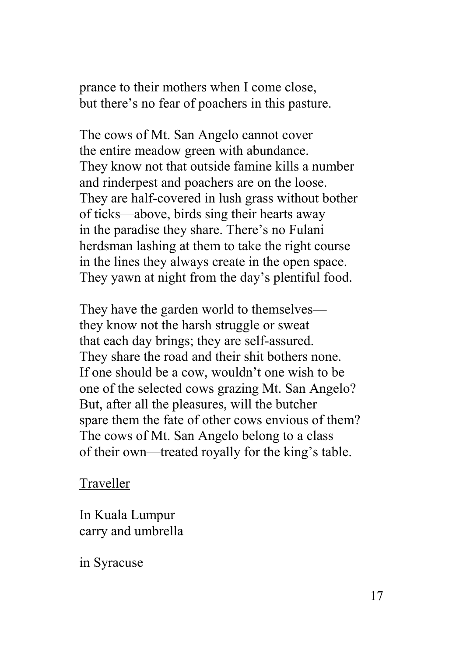prance to their mothers when I come close, but there's no fear of poachers in this pasture.

The cows of Mt. San Angelo cannot cover the entire meadow green with abundance. They know not that outside famine kills a number and rinderpest and poachers are on the loose. They are half-covered in lush grass without bother of ticks—above, birds sing their hearts away in the paradise they share. There's no Fulani herdsman lashing at them to take the right course in the lines they always create in the open space. They yawn at night from the day's plentiful food.

They have the garden world to themselves they know not the harsh struggle or sweat that each day brings; they are self-assured. They share the road and their shit bothers none. If one should be a cow, wouldn't one wish to be one of the selected cows grazing Mt. San Angelo? But, after all the pleasures, will the butcher spare them the fate of other cows envious of them? The cows of Mt. San Angelo belong to a class of their own—treated royally for the king's table.

#### Traveller

In Kuala Lumpur carry and umbrella

in Syracuse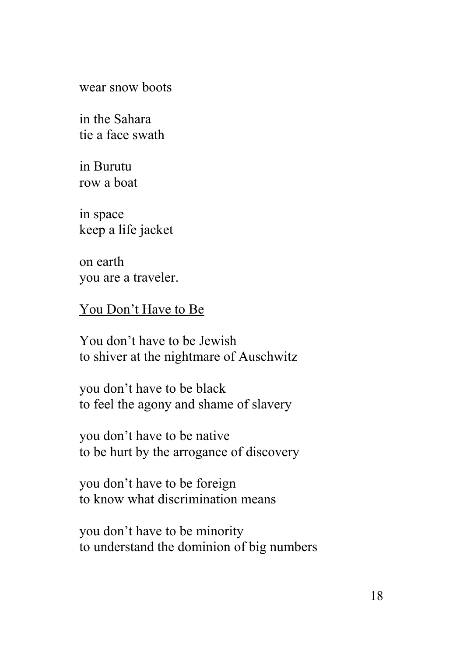wear snow boots

in the Sahara tie a face swath

in Burutu row a boat

in space keep a life jacket

on earth you are a traveler.

You Don't Have to Be

You don't have to be Jewish to shiver at the nightmare of Auschwitz

you don't have to be black to feel the agony and shame of slavery

you don't have to be native to be hurt by the arrogance of discovery

you don't have to be foreign to know what discrimination means

you don't have to be minority to understand the dominion of big numbers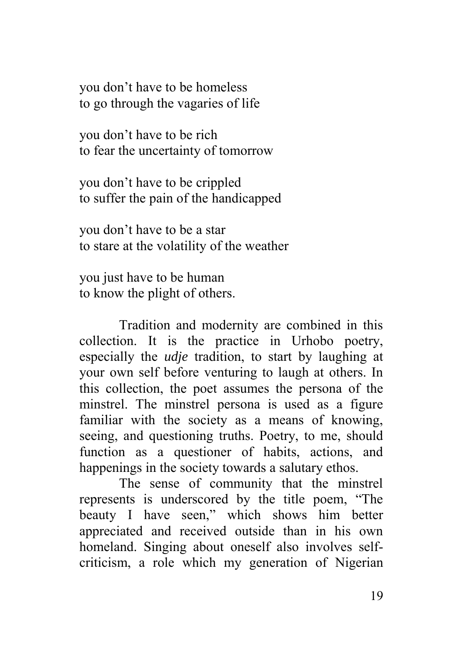you don't have to be homeless to go through the vagaries of life

you don't have to be rich to fear the uncertainty of tomorrow

you don't have to be crippled to suffer the pain of the handicapped

you don't have to be a star to stare at the volatility of the weather

you just have to be human to know the plight of others.

Tradition and modernity are combined in this collection. It is the practice in Urhobo poetry, especially the *udje* tradition, to start by laughing at your own self before venturing to laugh at others. In this collection, the poet assumes the persona of the minstrel. The minstrel persona is used as a figure familiar with the society as a means of knowing, seeing, and questioning truths. Poetry, to me, should function as a questioner of habits, actions, and happenings in the society towards a salutary ethos.

The sense of community that the minstrel represents is underscored by the title poem, "The beauty I have seen," which shows him better appreciated and received outside than in his own homeland. Singing about oneself also involves selfcriticism, a role which my generation of Nigerian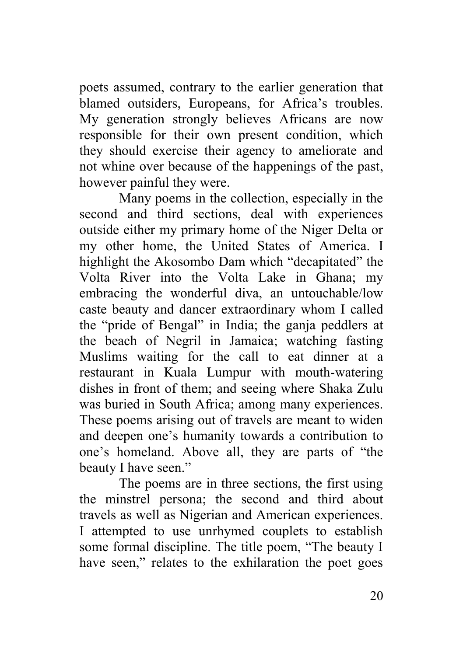poets assumed, contrary to the earlier generation that blamed outsiders, Europeans, for Africa's troubles. My generation strongly believes Africans are now responsible for their own present condition, which they should exercise their agency to ameliorate and not whine over because of the happenings of the past, however painful they were.

Many poems in the collection, especially in the second and third sections, deal with experiences outside either my primary home of the Niger Delta or my other home, the United States of America. I highlight the Akosombo Dam which "decapitated" the Volta River into the Volta Lake in Ghana; my embracing the wonderful diva, an untouchable/low caste beauty and dancer extraordinary whom I called the "pride of Bengal" in India; the ganja peddlers at the beach of Negril in Jamaica; watching fasting Muslims waiting for the call to eat dinner at a restaurant in Kuala Lumpur with mouth-watering dishes in front of them; and seeing where Shaka Zulu was buried in South Africa; among many experiences. These poems arising out of travels are meant to widen and deepen one's humanity towards a contribution to one's homeland. Above all, they are parts of "the beauty I have seen."

The poems are in three sections, the first using the minstrel persona; the second and third about travels as well as Nigerian and American experiences. I attempted to use unrhymed couplets to establish some formal discipline. The title poem, "The beauty I have seen," relates to the exhilaration the poet goes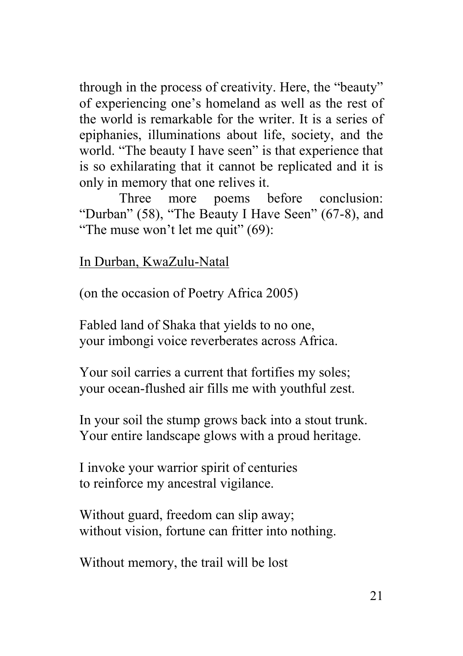through in the process of creativity. Here, the "beauty" of experiencing one's homeland as well as the rest of the world is remarkable for the writer. It is a series of epiphanies, illuminations about life, society, and the world. "The beauty I have seen" is that experience that is so exhilarating that it cannot be replicated and it is only in memory that one relives it.

Three more poems before conclusion: "Durban" (58), "The Beauty I Have Seen" (67-8), and "The muse won't let me quit" (69):

In Durban, KwaZulu-Natal

(on the occasion of Poetry Africa 2005)

Fabled land of Shaka that yields to no one, your imbongi voice reverberates across Africa.

Your soil carries a current that fortifies my soles; your ocean-flushed air fills me with youthful zest.

In your soil the stump grows back into a stout trunk. Your entire landscape glows with a proud heritage.

I invoke your warrior spirit of centuries to reinforce my ancestral vigilance.

Without guard, freedom can slip away; without vision, fortune can fritter into nothing.

Without memory, the trail will be lost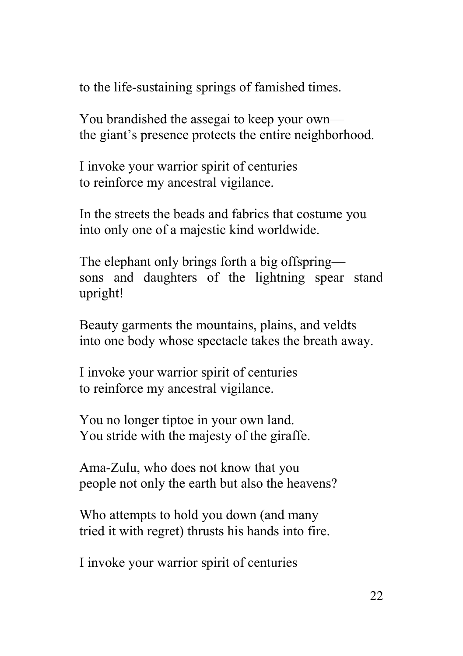to the life-sustaining springs of famished times.

You brandished the assegai to keep your own the giant's presence protects the entire neighborhood.

I invoke your warrior spirit of centuries to reinforce my ancestral vigilance.

In the streets the beads and fabrics that costume you into only one of a majestic kind worldwide.

The elephant only brings forth a big offspring sons and daughters of the lightning spear stand upright!

Beauty garments the mountains, plains, and veldts into one body whose spectacle takes the breath away.

I invoke your warrior spirit of centuries to reinforce my ancestral vigilance.

You no longer tiptoe in your own land. You stride with the majesty of the giraffe.

Ama-Zulu, who does not know that you people not only the earth but also the heavens?

Who attempts to hold you down (and many tried it with regret) thrusts his hands into fire.

I invoke your warrior spirit of centuries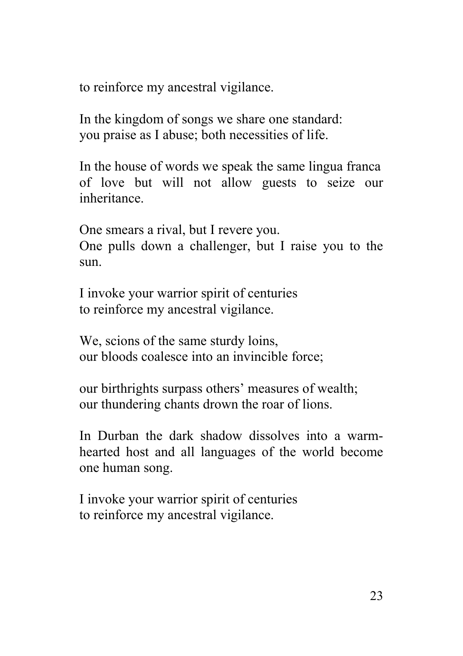to reinforce my ancestral vigilance.

In the kingdom of songs we share one standard: you praise as I abuse; both necessities of life.

In the house of words we speak the same lingua franca of love but will not allow guests to seize our inheritance.

One smears a rival, but I revere you. One pulls down a challenger, but I raise you to the sun.

I invoke your warrior spirit of centuries to reinforce my ancestral vigilance.

We, scions of the same sturdy loins, our bloods coalesce into an invincible force;

our birthrights surpass others' measures of wealth; our thundering chants drown the roar of lions.

In Durban the dark shadow dissolves into a warmhearted host and all languages of the world become one human song.

I invoke your warrior spirit of centuries to reinforce my ancestral vigilance.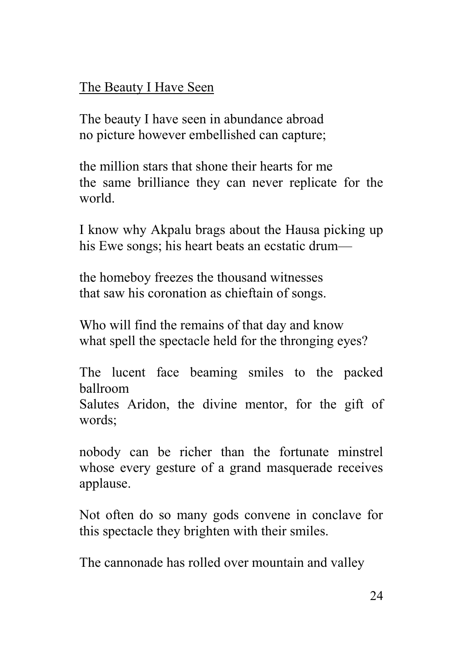#### The Beauty I Have Seen

The beauty I have seen in abundance abroad no picture however embellished can capture;

the million stars that shone their hearts for me the same brilliance they can never replicate for the world.

I know why Akpalu brags about the Hausa picking up his Ewe songs; his heart beats an ecstatic drum—

the homeboy freezes the thousand witnesses that saw his coronation as chieftain of songs.

Who will find the remains of that day and know what spell the spectacle held for the thronging eyes?

The lucent face beaming smiles to the packed ballroom

Salutes Aridon, the divine mentor, for the gift of words;

nobody can be richer than the fortunate minstrel whose every gesture of a grand masquerade receives applause.

Not often do so many gods convene in conclave for this spectacle they brighten with their smiles.

The cannonade has rolled over mountain and valley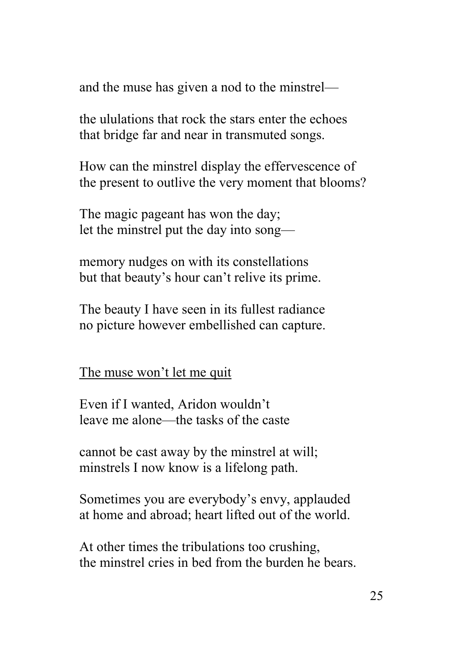and the muse has given a nod to the minstrel—

the ululations that rock the stars enter the echoes that bridge far and near in transmuted songs.

How can the minstrel display the effervescence of the present to outlive the very moment that blooms?

The magic pageant has won the day; let the minstrel put the day into song—

memory nudges on with its constellations but that beauty's hour can't relive its prime.

The beauty I have seen in its fullest radiance no picture however embellished can capture.

The muse won't let me quit

Even if I wanted, Aridon wouldn't leave me alone—the tasks of the caste

cannot be cast away by the minstrel at will; minstrels I now know is a lifelong path.

Sometimes you are everybody's envy, applauded at home and abroad; heart lifted out of the world.

At other times the tribulations too crushing, the minstrel cries in bed from the burden he bears.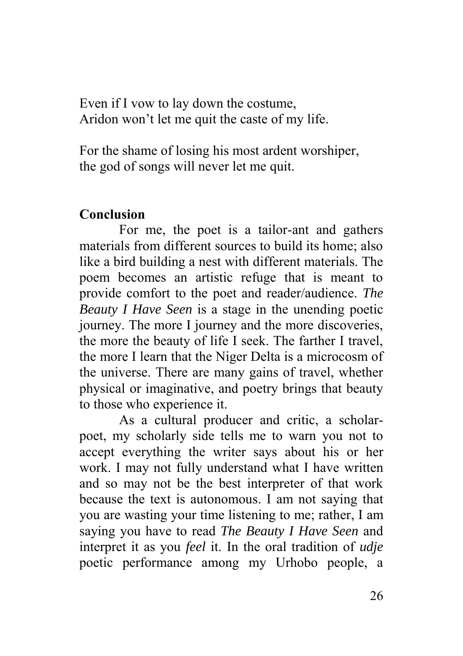Even if I vow to lay down the costume, Aridon won't let me quit the caste of my life.

For the shame of losing his most ardent worshiper, the god of songs will never let me quit.

#### **Conclusion**

For me, the poet is a tailor-ant and gathers materials from different sources to build its home; also like a bird building a nest with different materials. The poem becomes an artistic refuge that is meant to provide comfort to the poet and reader/audience. *The Beauty I Have Seen* is a stage in the unending poetic journey. The more I journey and the more discoveries, the more the beauty of life I seek. The farther I travel, the more I learn that the Niger Delta is a microcosm of the universe. There are many gains of travel, whether physical or imaginative, and poetry brings that beauty to those who experience it.

As a cultural producer and critic, a scholarpoet, my scholarly side tells me to warn you not to accept everything the writer says about his or her work. I may not fully understand what I have written and so may not be the best interpreter of that work because the text is autonomous. I am not saying that you are wasting your time listening to me; rather, I am saying you have to read *The Beauty I Have Seen* and interpret it as you *feel* it. In the oral tradition of *udje* poetic performance among my Urhobo people, a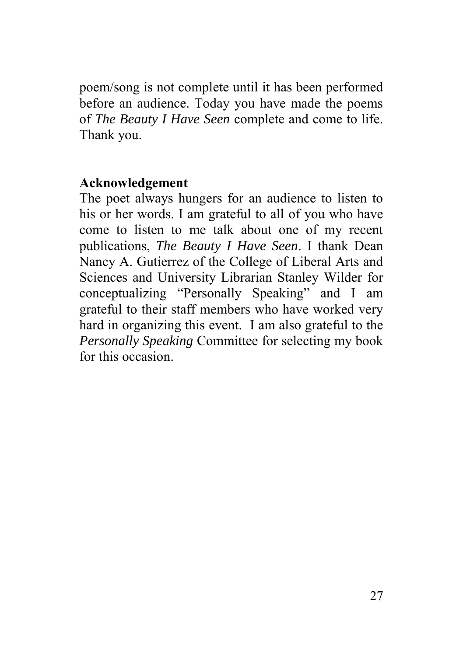poem/song is not complete until it has been performed before an audience. Today you have made the poems of *The Beauty I Have Seen* complete and come to life. Thank you.

#### **Acknowledgement**

The poet always hungers for an audience to listen to his or her words. I am grateful to all of you who have come to listen to me talk about one of my recent publications, *The Beauty I Have Seen*. I thank Dean Nancy A. Gutierrez of the College of Liberal Arts and Sciences and University Librarian Stanley Wilder for conceptualizing "Personally Speaking" and I am grateful to their staff members who have worked very hard in organizing this event. I am also grateful to the *Personally Speaking* Committee for selecting my book for this occasion.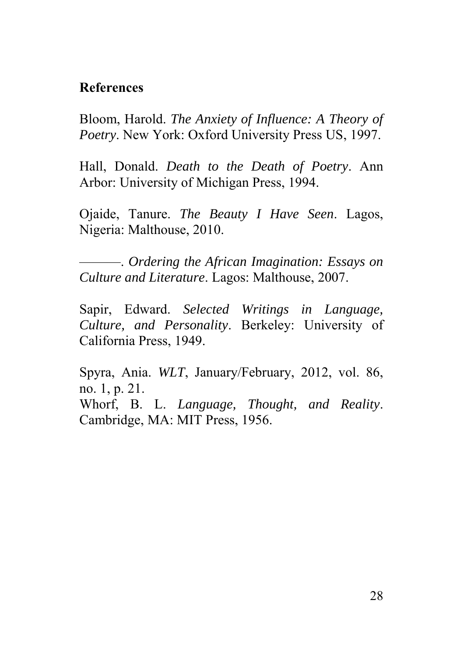#### **References**

Bloom, Harold. *The Anxiety of Influence: A Theory of Poetry*. New York: Oxford University Press US, 1997.

Hall, Donald. *Death to the Death of Poetry*. Ann Arbor: University of Michigan Press, 1994.

Ojaide, Tanure. *The Beauty I Have Seen*. Lagos, Nigeria: Malthouse, 2010.

———. *Ordering the African Imagination: Essays on Culture and Literature*. Lagos: Malthouse, 2007.

Sapir, Edward. *Selected Writings in Language, Culture, and Personality*. Berkeley: University of California Press, 1949.

Spyra, Ania. *WLT*, January/February, 2012, vol. 86, no. 1, p. 21. Whorf, B. L. *Language, Thought, and Reality*. Cambridge, MA: MIT Press, 1956.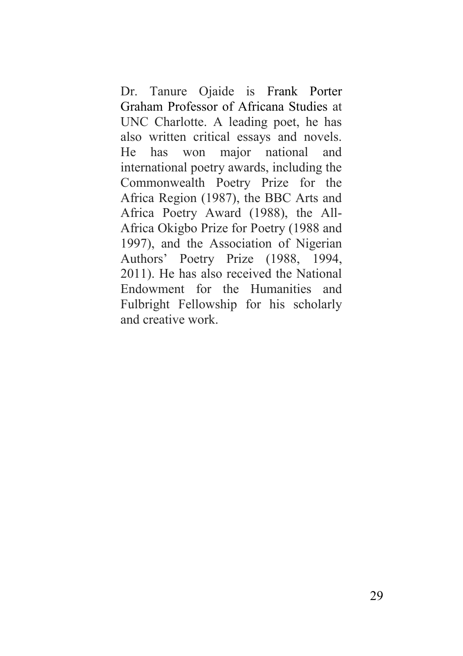Dr. Tanure Ojaide is Frank Porter Graham Professor of Africana Studies at UNC Charlotte. A leading poet, he has also written critical essays and novels. He has won major national and international poetry awards, including the Commonwealth Poetry Prize for the Africa Region (1987), the BBC Arts and Africa Poetry Award (1988), the All-Africa Okigbo Prize for Poetry (1988 and 1997), and the Association of Nigerian Authors' Poetry Prize (1988, 1994, 2011). He has also received the National Endowment for the Humanities and Fulbright Fellowship for his scholarly and creative work.